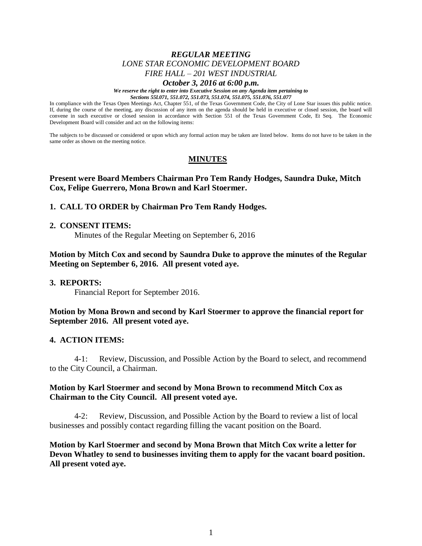# *REGULAR MEETING LONE STAR ECONOMIC DEVELOPMENT BOARD FIRE HALL – 201 WEST INDUSTRIAL*

#### *October 3, 2016 at 6:00 p.m.*

*We reserve the right to enter into Executive Session on any Agenda item pertaining to Sections 55l.071, 551.072, 551.073, 551.074, 551.075, 551.076, 551.077*

In compliance with the Texas Open Meetings Act, Chapter 551, of the Texas Government Code, the City of Lone Star issues this public notice. If, during the course of the meeting, any discussion of any item on the agenda should be held in executive or closed session, the board will convene in such executive or closed session in accordance with Section 551 of the Texas Government Code, Et Seq. The Economic Development Board will consider and act on the following items:

The subjects to be discussed or considered or upon which any formal action may be taken are listed below. Items do not have to be taken in the same order as shown on the meeting notice.

# **MINUTES**

## **Present were Board Members Chairman Pro Tem Randy Hodges, Saundra Duke, Mitch Cox, Felipe Guerrero, Mona Brown and Karl Stoermer.**

### **1. CALL TO ORDER by Chairman Pro Tem Randy Hodges.**

#### **2. CONSENT ITEMS:**

Minutes of the Regular Meeting on September 6, 2016

## **Motion by Mitch Cox and second by Saundra Duke to approve the minutes of the Regular Meeting on September 6, 2016. All present voted aye.**

#### **3. REPORTS:**

Financial Report for September 2016.

**Motion by Mona Brown and second by Karl Stoermer to approve the financial report for September 2016. All present voted aye.**

### **4. ACTION ITEMS:**

4-1: Review, Discussion, and Possible Action by the Board to select, and recommend to the City Council, a Chairman.

### **Motion by Karl Stoermer and second by Mona Brown to recommend Mitch Cox as Chairman to the City Council. All present voted aye.**

4-2: Review, Discussion, and Possible Action by the Board to review a list of local businesses and possibly contact regarding filling the vacant position on the Board.

**Motion by Karl Stoermer and second by Mona Brown that Mitch Cox write a letter for Devon Whatley to send to businesses inviting them to apply for the vacant board position. All present voted aye.**